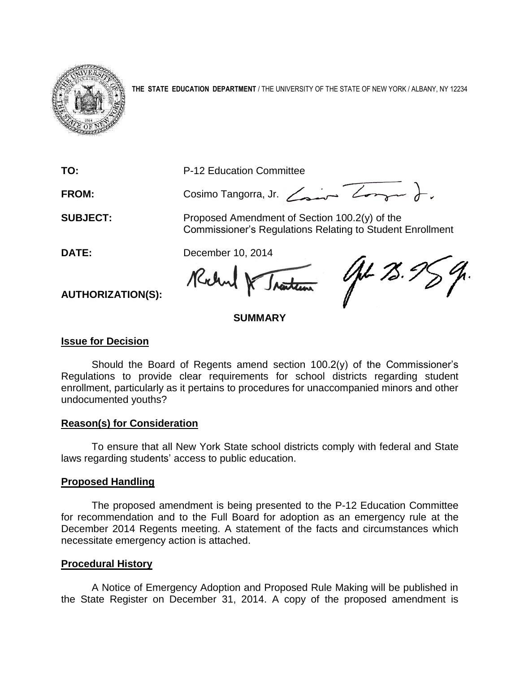

**THE STATE EDUCATION DEPARTMENT** / THE UNIVERSITY OF THE STATE OF NEW YORK / ALBANY, NY 12234

**TO:** P-12 Education Committee FROM: Cosimo Tangorra, Jr. <del>Court Zonger</del> ). **SUBJECT:** Proposed Amendment of Section 100.2(y) of the Commissioner's Regulations Relating to Student Enrollment **DATE:** December 10, 2014 AL 75.5 Rochel & Traction

**AUTHORIZATION(S):**

### **SUMMARY**

#### **Issue for Decision**

Should the Board of Regents amend section 100.2(y) of the Commissioner's Regulations to provide clear requirements for school districts regarding student enrollment, particularly as it pertains to procedures for unaccompanied minors and other undocumented youths?

#### **Reason(s) for Consideration**

To ensure that all New York State school districts comply with federal and State laws regarding students' access to public education.

#### **Proposed Handling**

The proposed amendment is being presented to the P-12 Education Committee for recommendation and to the Full Board for adoption as an emergency rule at the December 2014 Regents meeting. A statement of the facts and circumstances which necessitate emergency action is attached.

#### **Procedural History**

A Notice of Emergency Adoption and Proposed Rule Making will be published in the State Register on December 31, 2014. A copy of the proposed amendment is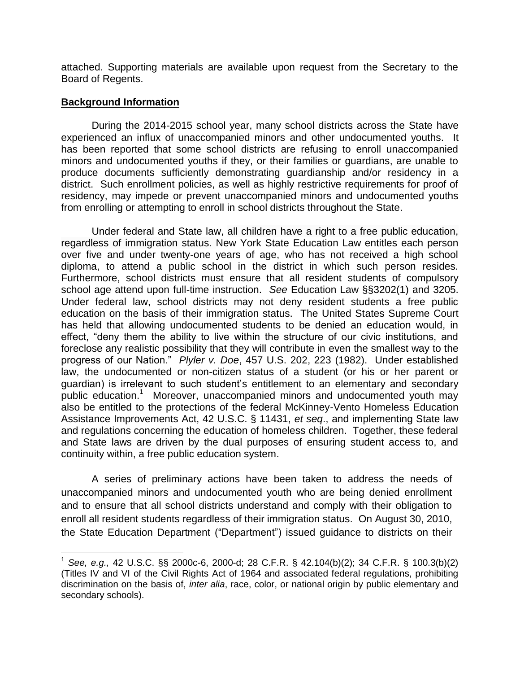attached. Supporting materials are available upon request from the Secretary to the Board of Regents.

#### **Background Information**

÷.

During the 2014-2015 school year, many school districts across the State have experienced an influx of unaccompanied minors and other undocumented youths. It has been reported that some school districts are refusing to enroll unaccompanied minors and undocumented youths if they, or their families or guardians, are unable to produce documents sufficiently demonstrating guardianship and/or residency in a district. Such enrollment policies, as well as highly restrictive requirements for proof of residency, may impede or prevent unaccompanied minors and undocumented youths from enrolling or attempting to enroll in school districts throughout the State.

Under federal and State law, all children have a right to a free public education, regardless of immigration status. New York State Education Law entitles each person over five and under twenty-one years of age, who has not received a high school diploma, to attend a public school in the district in which such person resides. Furthermore, school districts must ensure that all resident students of compulsory school age attend upon full-time instruction. *See* Education Law §§3202(1) and 3205. Under federal law, school districts may not deny resident students a free public education on the basis of their immigration status. The United States Supreme Court has held that allowing undocumented students to be denied an education would, in effect, "deny them the ability to live within the structure of our civic institutions, and foreclose any realistic possibility that they will contribute in even the smallest way to the progress of our Nation." *Plyler v. Doe*, 457 U.S. 202, 223 (1982). Under established law, the undocumented or non-citizen status of a student (or his or her parent or guardian) is irrelevant to such student's entitlement to an elementary and secondary public education.<sup>1</sup> Moreover, unaccompanied minors and undocumented youth may also be entitled to the protections of the federal McKinney-Vento Homeless Education Assistance Improvements Act, 42 U.S.C. § 11431, *et seq*., and implementing State law and regulations concerning the education of homeless children. Together, these federal and State laws are driven by the dual purposes of ensuring student access to, and continuity within, a free public education system.

A series of preliminary actions have been taken to address the needs of unaccompanied minors and undocumented youth who are being denied enrollment and to ensure that all school districts understand and comply with their obligation to enroll all resident students regardless of their immigration status. On August 30, 2010, the State Education Department ("Department") issued guidance to districts on their

<sup>1</sup> *See, e.g.,* 42 U.S.C. §§ 2000c-6, 2000-d; 28 C.F.R. § 42.104(b)(2); 34 C.F.R. § 100.3(b)(2) (Titles IV and VI of the Civil Rights Act of 1964 and associated federal regulations, prohibiting discrimination on the basis of, *inter alia*, race, color, or national origin by public elementary and secondary schools).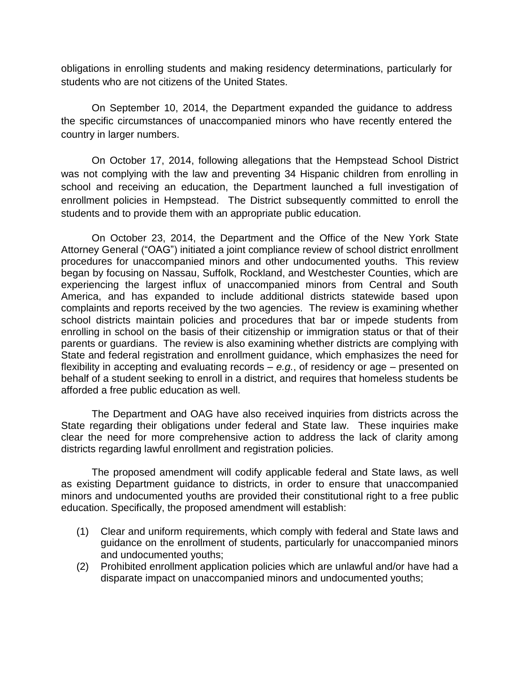obligations in enrolling students and making residency determinations, particularly for students who are not citizens of the United States.

On September 10, 2014, the Department expanded the guidance to address the specific circumstances of unaccompanied minors who have recently entered the country in larger numbers.

On October 17, 2014, following allegations that the Hempstead School District was not complying with the law and preventing 34 Hispanic children from enrolling in school and receiving an education, the Department launched a full investigation of enrollment policies in Hempstead. The District subsequently committed to enroll the students and to provide them with an appropriate public education.

On October 23, 2014, the Department and the Office of the New York State Attorney General ("OAG") initiated a joint compliance review of school district enrollment procedures for unaccompanied minors and other undocumented youths. This review began by focusing on Nassau, Suffolk, Rockland, and Westchester Counties, which are experiencing the largest influx of unaccompanied minors from Central and South America, and has expanded to include additional districts statewide based upon complaints and reports received by the two agencies. The review is examining whether school districts maintain policies and procedures that bar or impede students from enrolling in school on the basis of their citizenship or immigration status or that of their parents or guardians. The review is also examining whether districts are complying with State and federal registration and enrollment guidance, which emphasizes the need for flexibility in accepting and evaluating records – *e.g.*, of residency or age – presented on behalf of a student seeking to enroll in a district, and requires that homeless students be afforded a free public education as well.

The Department and OAG have also received inquiries from districts across the State regarding their obligations under federal and State law. These inquiries make clear the need for more comprehensive action to address the lack of clarity among districts regarding lawful enrollment and registration policies.

The proposed amendment will codify applicable federal and State laws, as well as existing Department guidance to districts, in order to ensure that unaccompanied minors and undocumented youths are provided their constitutional right to a free public education. Specifically, the proposed amendment will establish:

- (1) Clear and uniform requirements, which comply with federal and State laws and guidance on the enrollment of students, particularly for unaccompanied minors and undocumented youths;
- (2) Prohibited enrollment application policies which are unlawful and/or have had a disparate impact on unaccompanied minors and undocumented youths;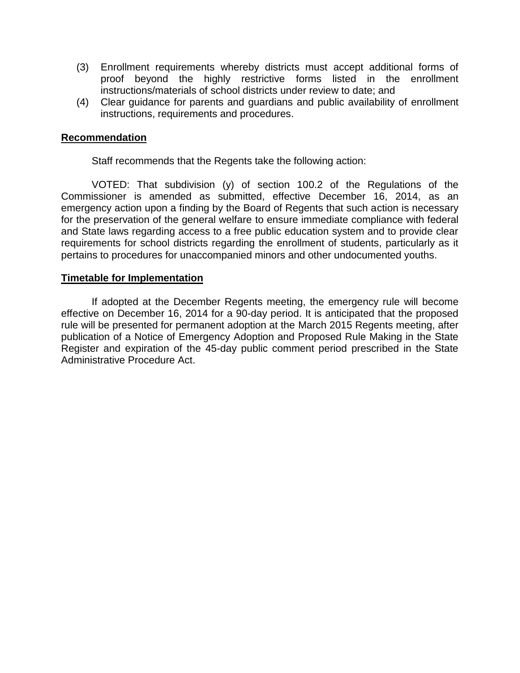- (3) Enrollment requirements whereby districts must accept additional forms of proof beyond the highly restrictive forms listed in the enrollment instructions/materials of school districts under review to date; and
- (4) Clear guidance for parents and guardians and public availability of enrollment instructions, requirements and procedures.

#### **Recommendation**

Staff recommends that the Regents take the following action:

VOTED: That subdivision (y) of section 100.2 of the Regulations of the Commissioner is amended as submitted, effective December 16, 2014, as an emergency action upon a finding by the Board of Regents that such action is necessary for the preservation of the general welfare to ensure immediate compliance with federal and State laws regarding access to a free public education system and to provide clear requirements for school districts regarding the enrollment of students, particularly as it pertains to procedures for unaccompanied minors and other undocumented youths.

#### **Timetable for Implementation**

If adopted at the December Regents meeting, the emergency rule will become effective on December 16, 2014 for a 90-day period. It is anticipated that the proposed rule will be presented for permanent adoption at the March 2015 Regents meeting, after publication of a Notice of Emergency Adoption and Proposed Rule Making in the State Register and expiration of the 45-day public comment period prescribed in the State Administrative Procedure Act.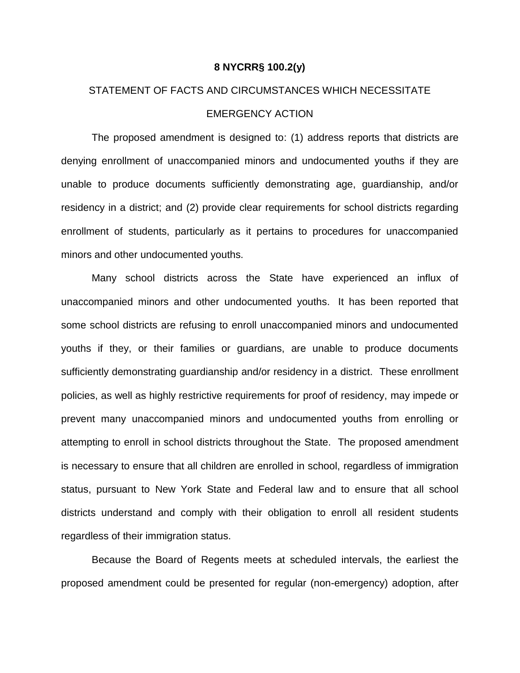#### **8 NYCRR§ 100.2(y)**

# STATEMENT OF FACTS AND CIRCUMSTANCES WHICH NECESSITATE EMERGENCY ACTION

The proposed amendment is designed to: (1) address reports that districts are denying enrollment of unaccompanied minors and undocumented youths if they are unable to produce documents sufficiently demonstrating age, guardianship, and/or residency in a district; and (2) provide clear requirements for school districts regarding enrollment of students, particularly as it pertains to procedures for unaccompanied minors and other undocumented youths.

Many school districts across the State have experienced an influx of unaccompanied minors and other undocumented youths. It has been reported that some school districts are refusing to enroll unaccompanied minors and undocumented youths if they, or their families or guardians, are unable to produce documents sufficiently demonstrating guardianship and/or residency in a district. These enrollment policies, as well as highly restrictive requirements for proof of residency, may impede or prevent many unaccompanied minors and undocumented youths from enrolling or attempting to enroll in school districts throughout the State. The proposed amendment is necessary to ensure that all children are enrolled in school, regardless of immigration status, pursuant to New York State and Federal law and to ensure that all school districts understand and comply with their obligation to enroll all resident students regardless of their immigration status.

Because the Board of Regents meets at scheduled intervals, the earliest the proposed amendment could be presented for regular (non-emergency) adoption, after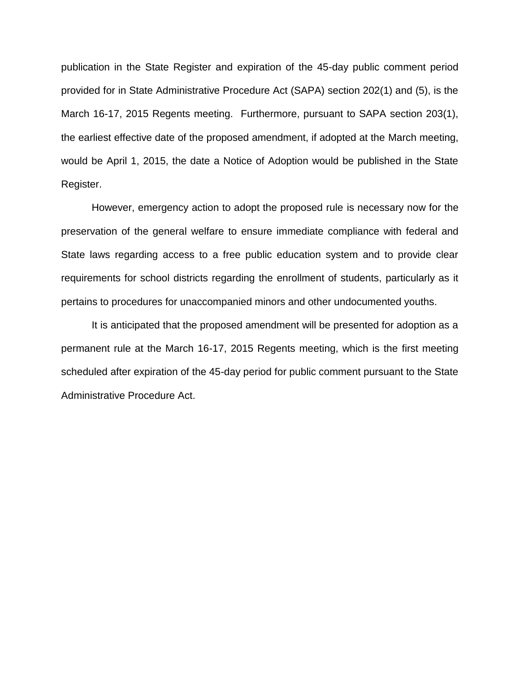publication in the State Register and expiration of the 45-day public comment period provided for in State Administrative Procedure Act (SAPA) section 202(1) and (5), is the March 16-17, 2015 Regents meeting. Furthermore, pursuant to SAPA section 203(1), the earliest effective date of the proposed amendment, if adopted at the March meeting, would be April 1, 2015, the date a Notice of Adoption would be published in the State Register.

However, emergency action to adopt the proposed rule is necessary now for the preservation of the general welfare to ensure immediate compliance with federal and State laws regarding access to a free public education system and to provide clear requirements for school districts regarding the enrollment of students, particularly as it pertains to procedures for unaccompanied minors and other undocumented youths.

It is anticipated that the proposed amendment will be presented for adoption as a permanent rule at the March 16-17, 2015 Regents meeting, which is the first meeting scheduled after expiration of the 45-day period for public comment pursuant to the State Administrative Procedure Act.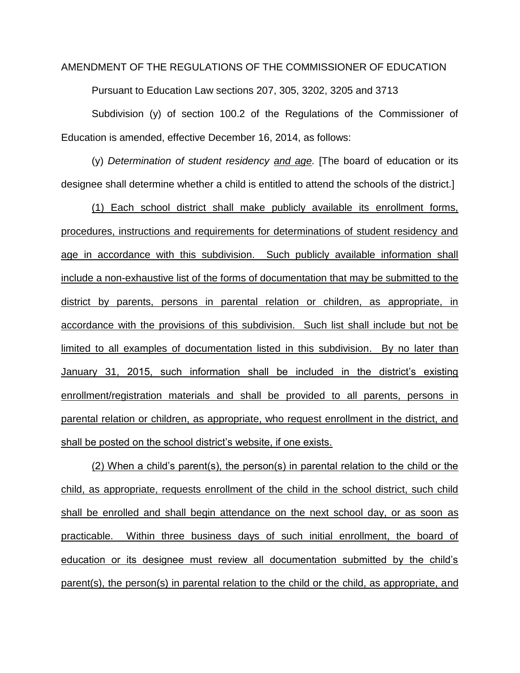## AMENDMENT OF THE REGULATIONS OF THE COMMISSIONER OF EDUCATION

Pursuant to Education Law sections 207, 305, 3202, 3205 and 3713

Subdivision (y) of section 100.2 of the Regulations of the Commissioner of Education is amended, effective December 16, 2014, as follows:

(y) *Determination of student residency and age.* [The board of education or its designee shall determine whether a child is entitled to attend the schools of the district.]

(1) Each school district shall make publicly available its enrollment forms, procedures, instructions and requirements for determinations of student residency and age in accordance with this subdivision. Such publicly available information shall include a non-exhaustive list of the forms of documentation that may be submitted to the district by parents, persons in parental relation or children, as appropriate, in accordance with the provisions of this subdivision. Such list shall include but not be limited to all examples of documentation listed in this subdivision. By no later than January 31, 2015, such information shall be included in the district's existing enrollment/registration materials and shall be provided to all parents, persons in parental relation or children, as appropriate, who request enrollment in the district, and shall be posted on the school district's website, if one exists.

(2) When a child's parent(s), the person(s) in parental relation to the child or the child, as appropriate, requests enrollment of the child in the school district, such child shall be enrolled and shall begin attendance on the next school day, or as soon as practicable. Within three business days of such initial enrollment, the board of education or its designee must review all documentation submitted by the child's parent(s), the person(s) in parental relation to the child or the child, as appropriate, and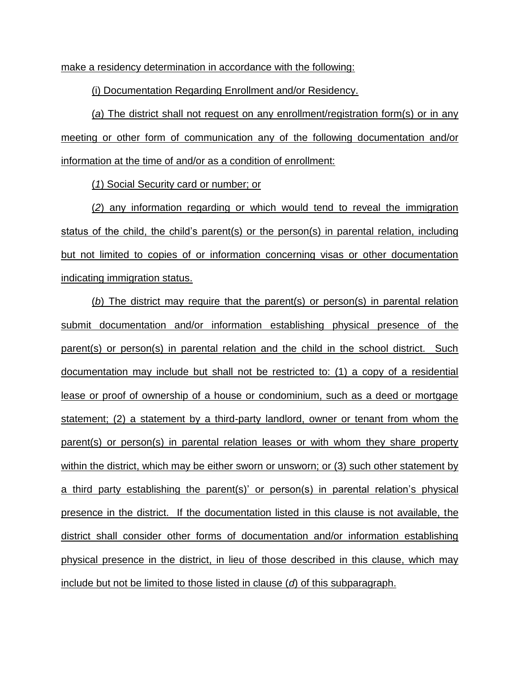make a residency determination in accordance with the following:

(i) Documentation Regarding Enrollment and/or Residency.

(*a*) The district shall not request on any enrollment/registration form(s) or in any meeting or other form of communication any of the following documentation and/or information at the time of and/or as a condition of enrollment:

(*1*) Social Security card or number; or

(*2*) any information regarding or which would tend to reveal the immigration status of the child, the child's parent(s) or the person(s) in parental relation, including but not limited to copies of or information concerning visas or other documentation indicating immigration status.

(*b*) The district may require that the parent(s) or person(s) in parental relation submit documentation and/or information establishing physical presence of the parent(s) or person(s) in parental relation and the child in the school district. Such documentation may include but shall not be restricted to: (1) a copy of a residential lease or proof of ownership of a house or condominium, such as a deed or mortgage statement; (2) a statement by a third-party landlord, owner or tenant from whom the parent(s) or person(s) in parental relation leases or with whom they share property within the district, which may be either sworn or unsworn; or (3) such other statement by a third party establishing the parent(s)' or person(s) in parental relation's physical presence in the district. If the documentation listed in this clause is not available, the district shall consider other forms of documentation and/or information establishing physical presence in the district, in lieu of those described in this clause, which may include but not be limited to those listed in clause (*d*) of this subparagraph.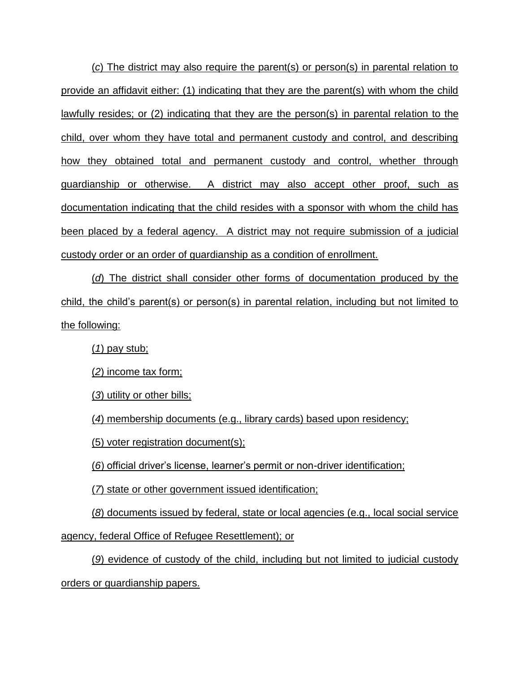(*c*) The district may also require the parent(s) or person(s) in parental relation to provide an affidavit either: (1) indicating that they are the parent(s) with whom the child lawfully resides; or (2) indicating that they are the person(s) in parental relation to the child, over whom they have total and permanent custody and control, and describing how they obtained total and permanent custody and control, whether through guardianship or otherwise. A district may also accept other proof, such as documentation indicating that the child resides with a sponsor with whom the child has been placed by a federal agency. A district may not require submission of a judicial custody order or an order of guardianship as a condition of enrollment.

(*d*) The district shall consider other forms of documentation produced by the child, the child's parent(s) or person(s) in parental relation, including but not limited to the following:

(*1*) pay stub;

(*2*) income tax form;

(*3*) utility or other bills;

(*4*) membership documents (e.g., library cards) based upon residency;

(5) voter registration document(s);

(*6*) official driver's license, learner's permit or non-driver identification;

(*7*) state or other government issued identification;

(*8*) documents issued by federal, state or local agencies (e.g., local social service

agency, federal Office of Refugee Resettlement); or

(*9*) evidence of custody of the child, including but not limited to judicial custody orders or guardianship papers.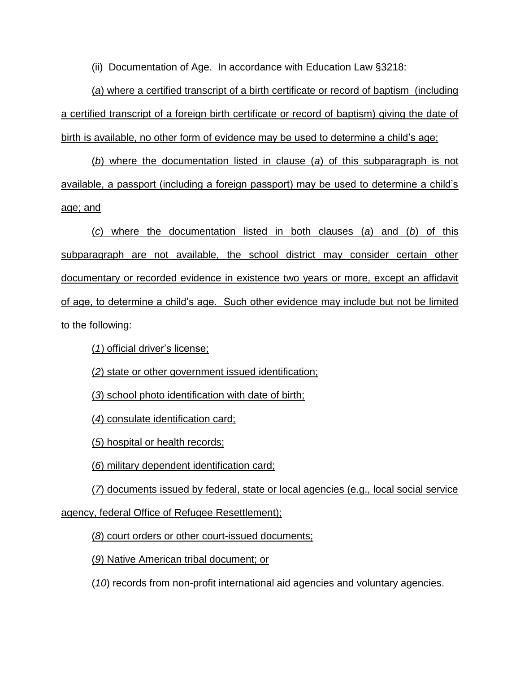(ii) Documentation of Age. In accordance with Education Law §3218:

(*a*) where a certified transcript of a birth certificate or record of baptism (including a certified transcript of a foreign birth certificate or record of baptism) giving the date of birth is available, no other form of evidence may be used to determine a child's age;

(*b*) where the documentation listed in clause (*a*) of this subparagraph is not available, a passport (including a foreign passport) may be used to determine a child's age; and

(*c*) where the documentation listed in both clauses (*a*) and (*b*) of this subparagraph are not available, the school district may consider certain other documentary or recorded evidence in existence two years or more, except an affidavit of age, to determine a child's age. Such other evidence may include but not be limited to the following:

(*1*) official driver's license;

(*2*) state or other government issued identification;

(*3*) school photo identification with date of birth;

(*4*) consulate identification card;

(*5*) hospital or health records;

(*6*) military dependent identification card;

(*7*) documents issued by federal, state or local agencies (e.g., local social service agency, federal Office of Refugee Resettlement);

(*8*) court orders or other court-issued documents;

(*9*) Native American tribal document; or

(*10*) records from non-profit international aid agencies and voluntary agencies.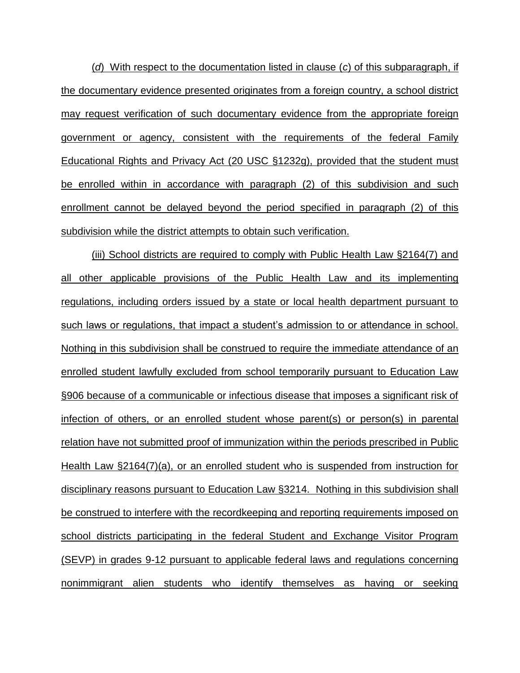(*d*) With respect to the documentation listed in clause (*c*) of this subparagraph, if the documentary evidence presented originates from a foreign country, a school district may request verification of such documentary evidence from the appropriate foreign government or agency, consistent with the requirements of the federal Family Educational Rights and Privacy Act (20 USC §1232g), provided that the student must be enrolled within in accordance with paragraph (2) of this subdivision and such enrollment cannot be delayed beyond the period specified in paragraph (2) of this subdivision while the district attempts to obtain such verification.

(iii) School districts are required to comply with Public Health Law §2164(7) and all other applicable provisions of the Public Health Law and its implementing regulations, including orders issued by a state or local health department pursuant to such laws or regulations, that impact a student's admission to or attendance in school. Nothing in this subdivision shall be construed to require the immediate attendance of an enrolled student lawfully excluded from school temporarily pursuant to Education Law §906 because of a communicable or infectious disease that imposes a significant risk of infection of others, or an enrolled student whose parent(s) or person(s) in parental relation have not submitted proof of immunization within the periods prescribed in Public Health Law §2164(7)(a), or an enrolled student who is suspended from instruction for disciplinary reasons pursuant to Education Law §3214. Nothing in this subdivision shall be construed to interfere with the recordkeeping and reporting requirements imposed on school districts participating in the federal Student and Exchange Visitor Program (SEVP) in grades 9-12 pursuant to applicable federal laws and regulations concerning nonimmigrant alien students who identify themselves as having or seeking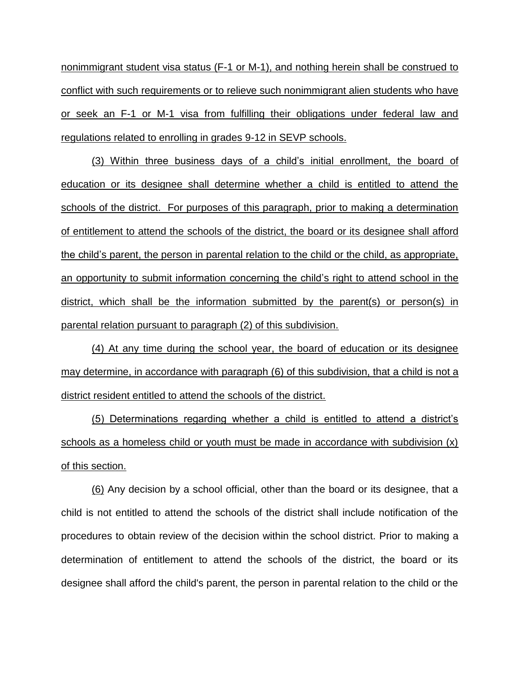nonimmigrant student visa status (F-1 or M-1), and nothing herein shall be construed to conflict with such requirements or to relieve such nonimmigrant alien students who have or seek an F-1 or M-1 visa from fulfilling their obligations under federal law and regulations related to enrolling in grades 9-12 in SEVP schools.

(3) Within three business days of a child's initial enrollment, the board of education or its designee shall determine whether a child is entitled to attend the schools of the district. For purposes of this paragraph, prior to making a determination of entitlement to attend the schools of the district, the board or its designee shall afford the child's parent, the person in parental relation to the child or the child, as appropriate, an opportunity to submit information concerning the child's right to attend school in the district, which shall be the information submitted by the parent(s) or person(s) in parental relation pursuant to paragraph (2) of this subdivision.

(4) At any time during the school year, the board of education or its designee may determine, in accordance with paragraph (6) of this subdivision, that a child is not a district resident entitled to attend the schools of the district.

(5) Determinations regarding whether a child is entitled to attend a district's schools as a homeless child or youth must be made in accordance with subdivision (x) of this section.

(6) Any decision by a school official, other than the board or its designee, that a child is not entitled to attend the schools of the district shall include notification of the procedures to obtain review of the decision within the school district. Prior to making a determination of entitlement to attend the schools of the district, the board or its designee shall afford the child's parent, the person in parental relation to the child or the